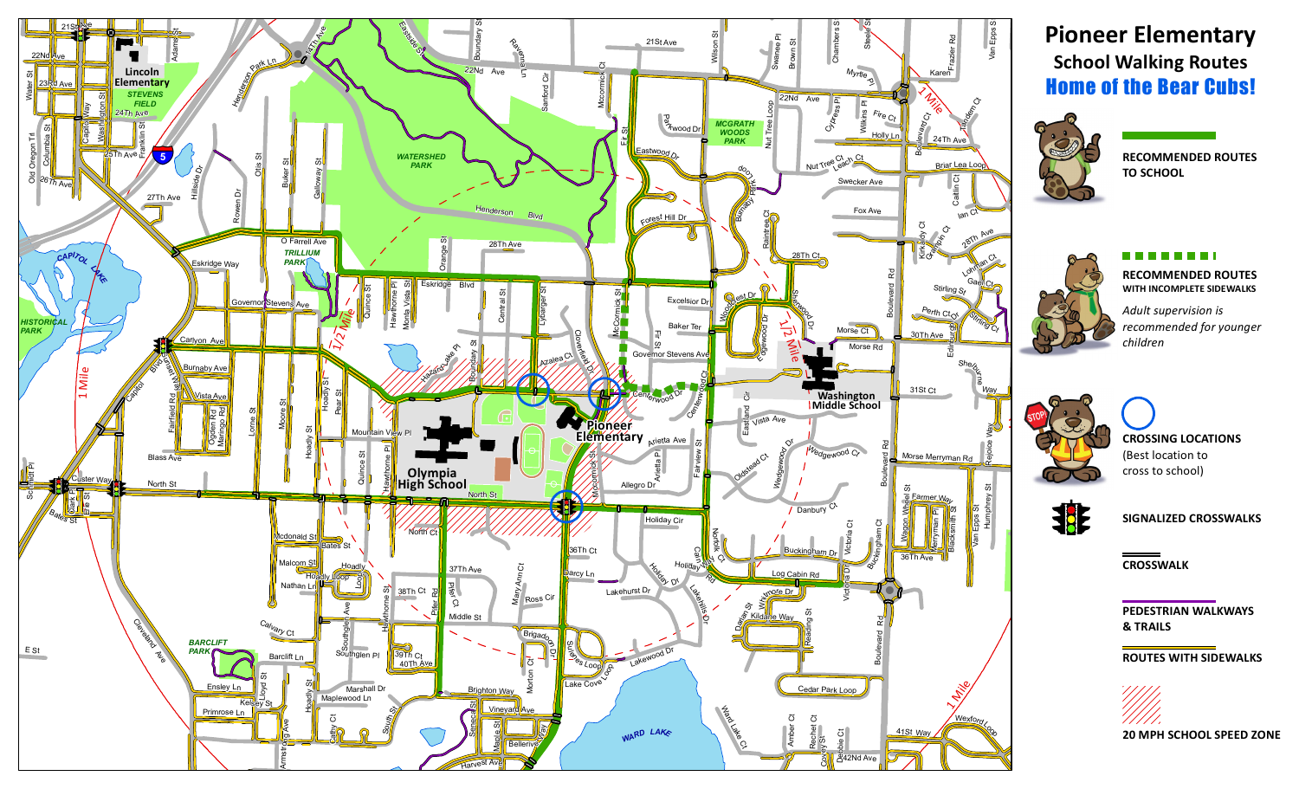